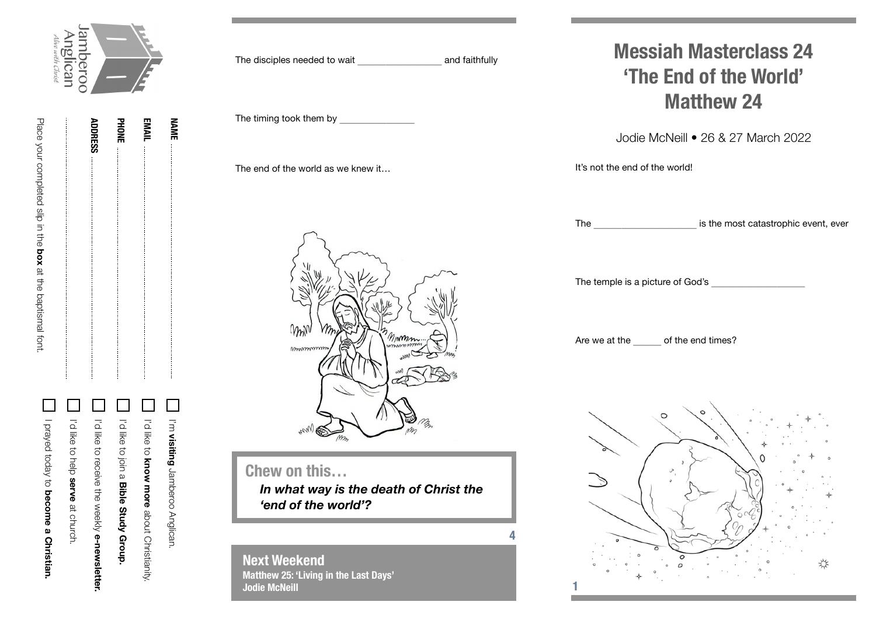

**NAME**

**ADDRESS PHONE EMAIL ADDRESS**

Place your completed slip in the

Place your completed slip in the box at the baptismal font

**box** at the baptismal font.

|              | I'm visiting Jamberoo Anglican.                                                           |
|--------------|-------------------------------------------------------------------------------------------|
|              | Interview and the apport Christianity:                                                    |
|              | In the coller a Bible Study Group.                                                        |
|              | In the conserver the seeking one the seed of the seed of the seed of $\alpha$ in $\alpha$ |
| $\mathsf{L}$ | I'd like to help serve at church.                                                         |
|              | I Prayed today to become a Christian.                                                     |

The disciples needed to wait **the and faithfully** The timing took them by The end of the world as we knew it… mm Minm mommon **Chew on this…** *In what way is the death of Christ the 'end of the world'?***4**

**Next Weekend Matthew 25: 'Living in the Last Days' Jodie McNeill**

**Messiah Masterclass 24 'The End of the World' Matthew 24**

Jodie McNeill • 26 & 27 March 2022

It's not the end of the world!

The the most catastrophic event, ever

The temple is a picture of God's \_\_\_\_\_\_\_\_\_\_

Are we at the of the end times?